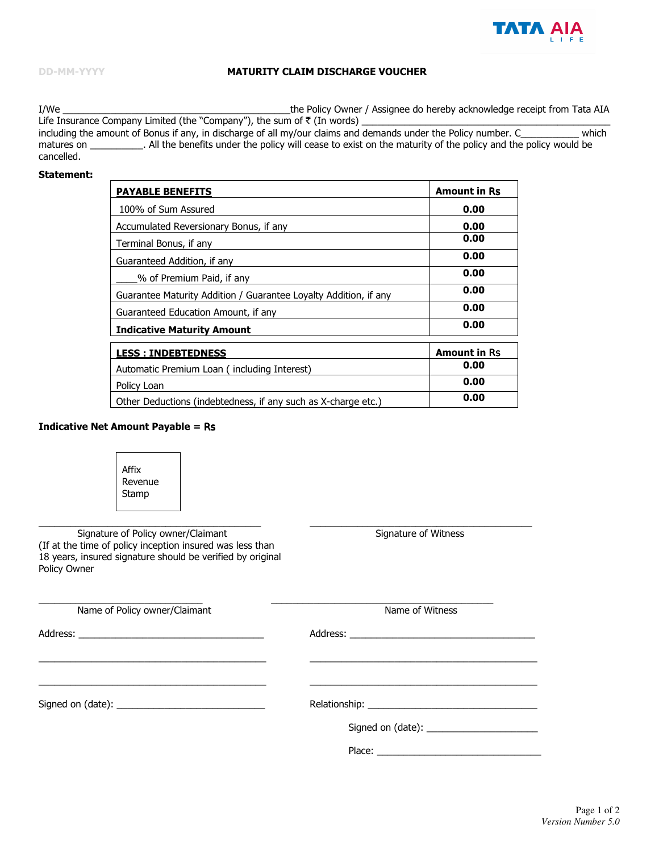

### **MATURITY CLAIM DISCHARGE VOUCHER**

 $I/We$ the Policy Owner / Assignee do hereby acknowledge receipt from Tata AIA Life Insurance Company Limited (the "Company"), the sum of ₹ (In words)<br>including the amount of Bonus if any, in discharge of all my/our claims and demands under the Policy number. C which

matures on \_\_\_\_\_\_\_\_\_\_\_. All the benefits under the policy will cease to exist on the maturity of the policy and the policy would be cancelled.

# **Statement:**

| <b>PAYABLE BENEFITS</b>                                          | <b>Amount in Rs</b> |
|------------------------------------------------------------------|---------------------|
| 100% of Sum Assured                                              | 0.00                |
| Accumulated Reversionary Bonus, if any                           | 0.00                |
| Terminal Bonus, if any                                           | 0.00                |
| Guaranteed Addition, if any                                      | 0.00                |
| % of Premium Paid, if any                                        | 0.00                |
| Guarantee Maturity Addition / Guarantee Loyalty Addition, if any | 0.00                |
| Guaranteed Education Amount, if any                              | 0.00                |
| <b>Indicative Maturity Amount</b>                                | 0.00                |
| <b>LESS: INDEBTEDNESS</b>                                        | <b>Amount in Rs</b> |
| Automatic Premium Loan (including Interest)                      | 0.00                |
| Policy Loan                                                      | 0.00                |
| Other Deductions (indebtedness, if any such as X-charge etc.)    | 0.00                |

#### **Indicative Net Amount Payable = Rs**

٦

 $\Gamma$ 

| Affix<br>Revenue<br>Stamp                                                                                                                                                     |                      |  |
|-------------------------------------------------------------------------------------------------------------------------------------------------------------------------------|----------------------|--|
| Signature of Policy owner/Claimant<br>(If at the time of policy inception insured was less than<br>18 years, insured signature should be verified by original<br>Policy Owner | Signature of Witness |  |
| Name of Policy owner/Claimant                                                                                                                                                 | Name of Witness      |  |
| and the control of the control of the control of the control of the control of the control of the control of the                                                              |                      |  |
|                                                                                                                                                                               |                      |  |
|                                                                                                                                                                               |                      |  |
|                                                                                                                                                                               |                      |  |